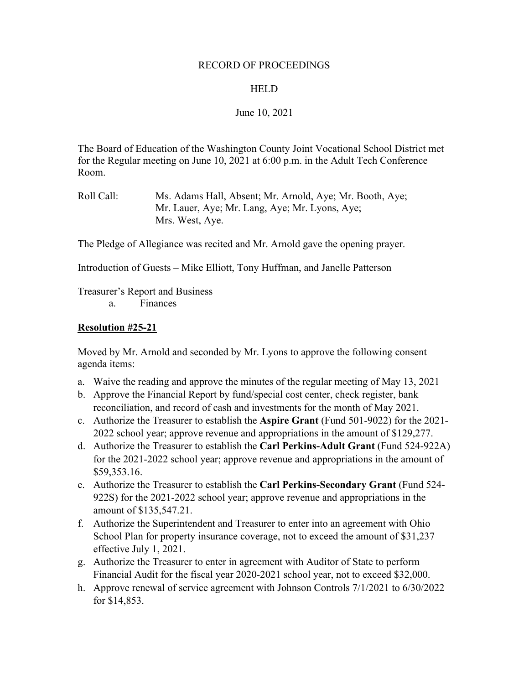#### RECORD OF PROCEEDINGS

#### **HELD**

## June 10, 2021

The Board of Education of the Washington County Joint Vocational School District met for the Regular meeting on June 10, 2021 at 6:00 p.m. in the Adult Tech Conference Room.

Roll Call: Ms. Adams Hall, Absent; Mr. Arnold, Aye; Mr. Booth, Aye; Mr. Lauer, Aye; Mr. Lang, Aye; Mr. Lyons, Aye; Mrs. West, Aye.

The Pledge of Allegiance was recited and Mr. Arnold gave the opening prayer.

Introduction of Guests – Mike Elliott, Tony Huffman, and Janelle Patterson

Treasurer's Report and Business

a. Finances

#### **Resolution #25-21**

Moved by Mr. Arnold and seconded by Mr. Lyons to approve the following consent agenda items:

- a. Waive the reading and approve the minutes of the regular meeting of May 13, 2021
- b. Approve the Financial Report by fund/special cost center, check register, bank reconciliation, and record of cash and investments for the month of May 2021.
- c. Authorize the Treasurer to establish the **Aspire Grant** (Fund 501-9022) for the 2021- 2022 school year; approve revenue and appropriations in the amount of \$129,277.
- d. Authorize the Treasurer to establish the **Carl Perkins-Adult Grant** (Fund 524-922A) for the 2021-2022 school year; approve revenue and appropriations in the amount of \$59,353.16.
- e. Authorize the Treasurer to establish the **Carl Perkins-Secondary Grant** (Fund 524- 922S) for the 2021-2022 school year; approve revenue and appropriations in the amount of \$135,547.21.
- f. Authorize the Superintendent and Treasurer to enter into an agreement with Ohio School Plan for property insurance coverage, not to exceed the amount of \$31,237 effective July 1, 2021.
- g. Authorize the Treasurer to enter in agreement with Auditor of State to perform Financial Audit for the fiscal year 2020-2021 school year, not to exceed \$32,000.
- h. Approve renewal of service agreement with Johnson Controls 7/1/2021 to 6/30/2022 for \$14,853.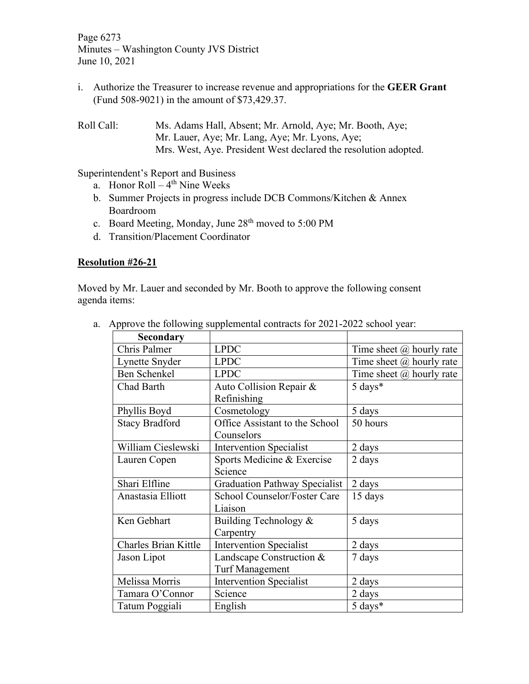Page 6273 Minutes – Washington County JVS District June 10, 2021

i. Authorize the Treasurer to increase revenue and appropriations for the **GEER Grant** (Fund 508-9021) in the amount of \$73,429.37.

Roll Call: Ms. Adams Hall, Absent; Mr. Arnold, Aye; Mr. Booth, Aye; Mr. Lauer, Aye; Mr. Lang, Aye; Mr. Lyons, Aye; Mrs. West, Aye. President West declared the resolution adopted.

Superintendent's Report and Business

- a. Honor  $Roll 4<sup>th</sup>$  Nine Weeks
- b. Summer Projects in progress include DCB Commons/Kitchen & Annex Boardroom
- c. Board Meeting, Monday, June 28<sup>th</sup> moved to 5:00 PM
- d. Transition/Placement Coordinator

## **Resolution #26-21**

Moved by Mr. Lauer and seconded by Mr. Booth to approve the following consent agenda items:

| <b>Secondary</b>            |                                      |                                 |  |
|-----------------------------|--------------------------------------|---------------------------------|--|
| Chris Palmer                | <b>LPDC</b>                          | Time sheet $\omega$ hourly rate |  |
| Lynette Snyder              | <b>LPDC</b>                          | Time sheet $\omega$ hourly rate |  |
| <b>Ben Schenkel</b>         | <b>LPDC</b>                          | Time sheet $(a)$ hourly rate    |  |
| Chad Barth                  | Auto Collision Repair &              | 5 days*                         |  |
|                             | Refinishing                          |                                 |  |
| Phyllis Boyd                | Cosmetology                          | 5 days                          |  |
| <b>Stacy Bradford</b>       | Office Assistant to the School       | 50 hours                        |  |
|                             | Counselors                           |                                 |  |
| William Cieslewski          | <b>Intervention Specialist</b>       | 2 days                          |  |
| Lauren Copen                | Sports Medicine & Exercise           | 2 days                          |  |
|                             | Science                              |                                 |  |
| Shari Elfline               | <b>Graduation Pathway Specialist</b> | 2 days                          |  |
| Anastasia Elliott           | School Counselor/Foster Care         | 15 days                         |  |
|                             | Liaison                              |                                 |  |
| Ken Gebhart                 | Building Technology &                | 5 days                          |  |
|                             | Carpentry                            |                                 |  |
| <b>Charles Brian Kittle</b> | <b>Intervention Specialist</b>       | 2 days                          |  |
| Jason Lipot                 | Landscape Construction &             | 7 days                          |  |
|                             | <b>Turf Management</b>               |                                 |  |
| Melissa Morris              | <b>Intervention Specialist</b>       | 2 days                          |  |
| Tamara O'Connor             | Science                              | 2 days                          |  |
| Tatum Poggiali              | English                              | 5 days*                         |  |

a. Approve the following supplemental contracts for 2021-2022 school year: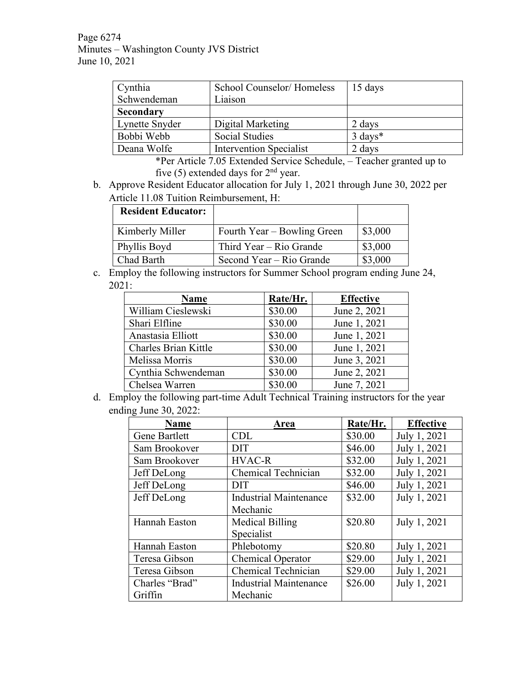Page 6274 Minutes – Washington County JVS District June 10, 2021

| Cynthia        | School Counselor/Homeless      | 15 days            |
|----------------|--------------------------------|--------------------|
| Schwendeman    | Liaison                        |                    |
| Secondary      |                                |                    |
| Lynette Snyder | Digital Marketing              | 2 days             |
| Bobbi Webb     | <b>Social Studies</b>          | $3 \text{ days}^*$ |
| Deana Wolfe    | <b>Intervention Specialist</b> | 2 days             |

\*Per Article 7.05 Extended Service Schedule, – Teacher granted up to five (5) extended days for  $2<sup>nd</sup>$  year.

b. Approve Resident Educator allocation for July 1, 2021 through June 30, 2022 per Article 11.08 Tuition Reimbursement, H:

| <b>Resident Educator:</b> |                             |         |
|---------------------------|-----------------------------|---------|
| Kimberly Miller           | Fourth Year – Bowling Green | \$3,000 |
| Phyllis Boyd              | Third Year – Rio Grande     | \$3,000 |
| Chad Barth                | Second Year – Rio Grande    | \$3,000 |

c. Employ the following instructors for Summer School program ending June 24, 2021:

| <b>Name</b>          | Rate/Hr. | <b>Effective</b> |
|----------------------|----------|------------------|
| William Cieslewski   | \$30.00  | June 2, 2021     |
| Shari Elfline        | \$30.00  | June 1, 2021     |
| Anastasia Elliott    | \$30.00  | June 1, 2021     |
| Charles Brian Kittle | \$30.00  | June 1, 2021     |
| Melissa Morris       | \$30.00  | June 3, 2021     |
| Cynthia Schwendeman  | \$30.00  | June 2, 2021     |
| Chelsea Warren       | \$30.00  | June 7, 2021     |

d. Employ the following part-time Adult Technical Training instructors for the year ending June 30, 2022:

| <b>Name</b>    | Area                          | Rate/Hr. | <b>Effective</b> |
|----------------|-------------------------------|----------|------------------|
| Gene Bartlett  | <b>CDL</b>                    | \$30.00  | July 1, 2021     |
| Sam Brookover  | <b>DIT</b>                    | \$46.00  | July 1, 2021     |
| Sam Brookover  | <b>HVAC-R</b>                 | \$32.00  | July 1, 2021     |
| Jeff DeLong    | <b>Chemical Technician</b>    | \$32.00  | July 1, 2021     |
| Jeff DeLong    | <b>DIT</b>                    | \$46.00  | July 1, 2021     |
| Jeff DeLong    | <b>Industrial Maintenance</b> | \$32.00  | July 1, 2021     |
|                | Mechanic                      |          |                  |
| Hannah Easton  | <b>Medical Billing</b>        | \$20.80  | July 1, 2021     |
|                | Specialist                    |          |                  |
| Hannah Easton  | Phlebotomy                    | \$20.80  | July 1, 2021     |
| Teresa Gibson  | <b>Chemical Operator</b>      | \$29.00  | July 1, 2021     |
| Teresa Gibson  | <b>Chemical Technician</b>    | \$29.00  | July 1, 2021     |
| Charles "Brad" | <b>Industrial Maintenance</b> | \$26.00  | July 1, 2021     |
| Griffin        | Mechanic                      |          |                  |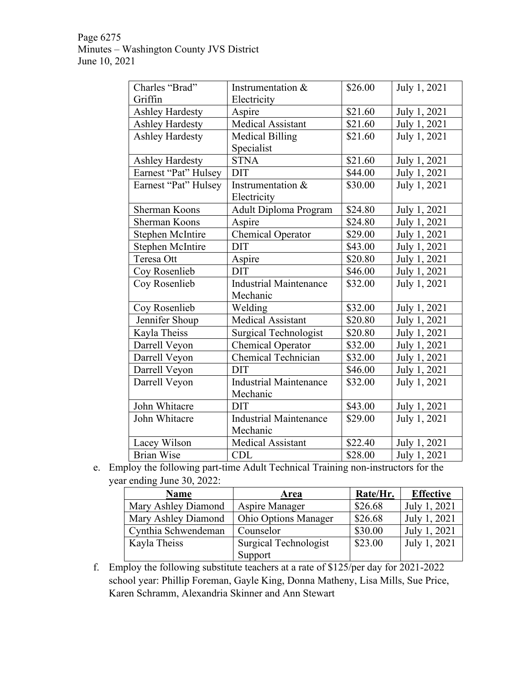Page 6275 Minutes – Washington County JVS District June 10, 2021

| Charles "Brad"          | Instrumentation &             | \$26.00 | July 1, 2021 |
|-------------------------|-------------------------------|---------|--------------|
| Griffin                 | Electricity                   |         |              |
| <b>Ashley Hardesty</b>  | Aspire                        | \$21.60 | July 1, 2021 |
| <b>Ashley Hardesty</b>  | Medical Assistant             | \$21.60 | July 1, 2021 |
| <b>Ashley Hardesty</b>  | <b>Medical Billing</b>        | \$21.60 | July 1, 2021 |
|                         | Specialist                    |         |              |
| <b>Ashley Hardesty</b>  | <b>STNA</b>                   | \$21.60 | July 1, 2021 |
| Earnest "Pat" Hulsey    | <b>DIT</b>                    | \$44.00 | July 1, 2021 |
| Earnest "Pat" Hulsey    | Instrumentation &             | \$30.00 | July 1, 2021 |
|                         | Electricity                   |         |              |
| Sherman Koons           | Adult Diploma Program         | \$24.80 | July 1, 2021 |
| <b>Sherman Koons</b>    | Aspire                        | \$24.80 | July 1, 2021 |
| <b>Stephen McIntire</b> | <b>Chemical Operator</b>      | \$29.00 | July 1, 2021 |
| <b>Stephen McIntire</b> | <b>DIT</b>                    | \$43.00 | July 1, 2021 |
| Teresa Ott              | Aspire                        | \$20.80 | July 1, 2021 |
| Coy Rosenlieb           | <b>DIT</b>                    | \$46.00 | July 1, 2021 |
| Coy Rosenlieb           | <b>Industrial Maintenance</b> | \$32.00 | July 1, 2021 |
|                         | Mechanic                      |         |              |
| Coy Rosenlieb           | Welding                       | \$32.00 | July 1, 2021 |
| Jennifer Shoup          | Medical Assistant             | \$20.80 | July 1, 2021 |
| Kayla Theiss            | <b>Surgical Technologist</b>  | \$20.80 | July 1, 2021 |
| Darrell Veyon           | <b>Chemical Operator</b>      | \$32.00 | July 1, 2021 |
| Darrell Veyon           | Chemical Technician           | \$32.00 | July 1, 2021 |
| Darrell Veyon           | <b>DIT</b>                    |         | July 1, 2021 |
| Darrell Veyon           | <b>Industrial Maintenance</b> | \$32.00 | July 1, 2021 |
|                         | Mechanic                      |         |              |
| John Whitacre           | <b>DIT</b>                    | \$43.00 | July 1, 2021 |
| John Whitacre           | <b>Industrial Maintenance</b> | \$29.00 | July 1, 2021 |
|                         | Mechanic                      |         |              |
| Lacey Wilson            | <b>Medical Assistant</b>      | \$22.40 | July 1, 2021 |
| <b>Brian Wise</b>       | <b>CDL</b>                    | \$28.00 | July 1, 2021 |

e. Employ the following part-time Adult Technical Training non-instructors for the year ending June 30, 2022:

| <b>Name</b>         | <b>Area</b>                 | Rate/Hr. | <b>Effective</b> |
|---------------------|-----------------------------|----------|------------------|
| Mary Ashley Diamond | Aspire Manager              | \$26.68  | July 1, 2021     |
| Mary Ashley Diamond | <b>Ohio Options Manager</b> | \$26.68  | July 1, 2021     |
| Cynthia Schwendeman | Counselor                   | \$30.00  | July 1, 2021     |
| Kayla Theiss        | Surgical Technologist       | \$23.00  | July 1, 2021     |
|                     | Support                     |          |                  |

f. Employ the following substitute teachers at a rate of \$125/per day for 2021-2022 school year: Phillip Foreman, Gayle King, Donna Matheny, Lisa Mills, Sue Price, Karen Schramm, Alexandria Skinner and Ann Stewart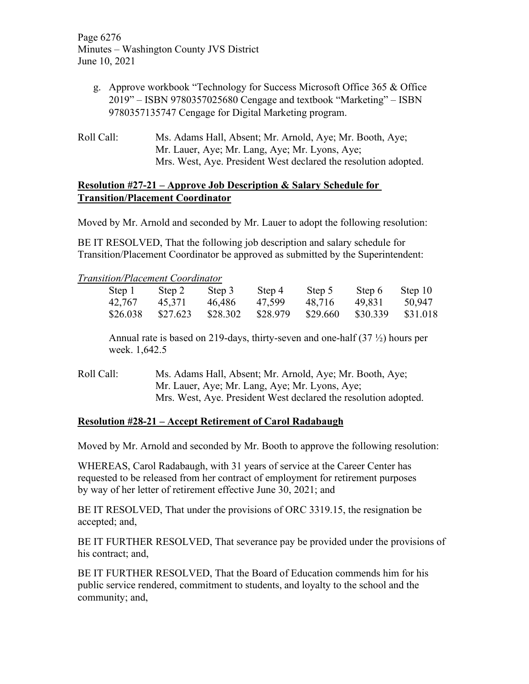Page 6276 Minutes – Washington County JVS District June 10, 2021

- g. Approve workbook "Technology for Success Microsoft Office 365 & Office 2019" – ISBN 9780357025680 Cengage and textbook "Marketing" – ISBN 9780357135747 Cengage for Digital Marketing program.
- Roll Call: Ms. Adams Hall, Absent; Mr. Arnold, Aye; Mr. Booth, Aye; Mr. Lauer, Aye; Mr. Lang, Aye; Mr. Lyons, Aye; Mrs. West, Aye. President West declared the resolution adopted.

# **Resolution #27-21 – Approve Job Description & Salary Schedule for Transition/Placement Coordinator**

Moved by Mr. Arnold and seconded by Mr. Lauer to adopt the following resolution:

BE IT RESOLVED, That the following job description and salary schedule for Transition/Placement Coordinator be approved as submitted by the Superintendent:

## *Transition/Placement Coordinator*

| Step 1   | Step 2   | Step 3   | Step 4   | Step 5   | Step 6   | Step 10  |
|----------|----------|----------|----------|----------|----------|----------|
| 42,767   | 45,371   | 46.486   | 47,599   | 48,716   | 49,831   | 50,947   |
| \$26.038 | \$27.623 | \$28.302 | \$28.979 | \$29.660 | \$30.339 | \$31.018 |

Annual rate is based on 219-days, thirty-seven and one-half (37 ½) hours per week. 1,642.5

Roll Call: Ms. Adams Hall, Absent; Mr. Arnold, Aye; Mr. Booth, Aye; Mr. Lauer, Aye; Mr. Lang, Aye; Mr. Lyons, Aye; Mrs. West, Aye. President West declared the resolution adopted.

## **Resolution #28-21 – Accept Retirement of Carol Radabaugh**

Moved by Mr. Arnold and seconded by Mr. Booth to approve the following resolution:

WHEREAS, Carol Radabaugh, with 31 years of service at the Career Center has requested to be released from her contract of employment for retirement purposes by way of her letter of retirement effective June 30, 2021; and

BE IT RESOLVED, That under the provisions of ORC 3319.15, the resignation be accepted; and,

BE IT FURTHER RESOLVED, That severance pay be provided under the provisions of his contract; and,

BE IT FURTHER RESOLVED, That the Board of Education commends him for his public service rendered, commitment to students, and loyalty to the school and the community; and,